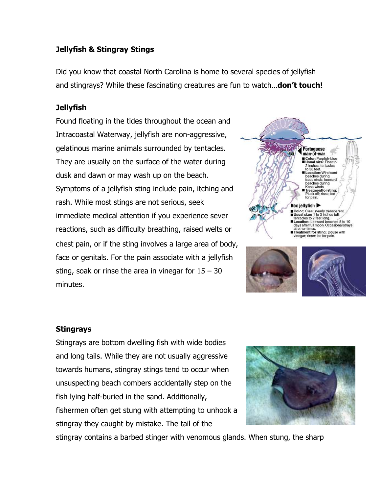## Jellyfish & Stingray Stings

Did you know that coastal North Carolina is home to several species of jellyfish and stingrays? While these fascinating creatures are fun to watch...**don't touch!** 

## **Jellyfish**

Found floating in the tides throughout the ocean and Intracoastal Waterway, jellyfish are non-aggressive, gelatinous marine animals surrounded by tentacles. They are usually on the surface of the water during dusk and dawn or may wash up on the beach. Symptoms of a jellyfish sting include pain, itching and rash. While most stings are not serious, seek immediate medical attention if you experience sever reactions, such as difficulty breathing, raised welts or chest pain, or if the sting involves a large area of body, face or genitals. For the pain associate with a jellyfish sting, soak or rinse the area in vinegar for  $15 - 30$ minutes.



## Stingrays

Stingrays are bottom dwelling fish with wide bodies and long tails. While they are not usually aggressive towards humans, stingray stings tend to occur when unsuspecting beach combers accidentally step on the fish lying half-buried in the sand. Additionally, fishermen often get stung with attempting to unhook a stingray they caught by mistake. The tail of the



stingray contains a barbed stinger with venomous glands. When stung, the sharp